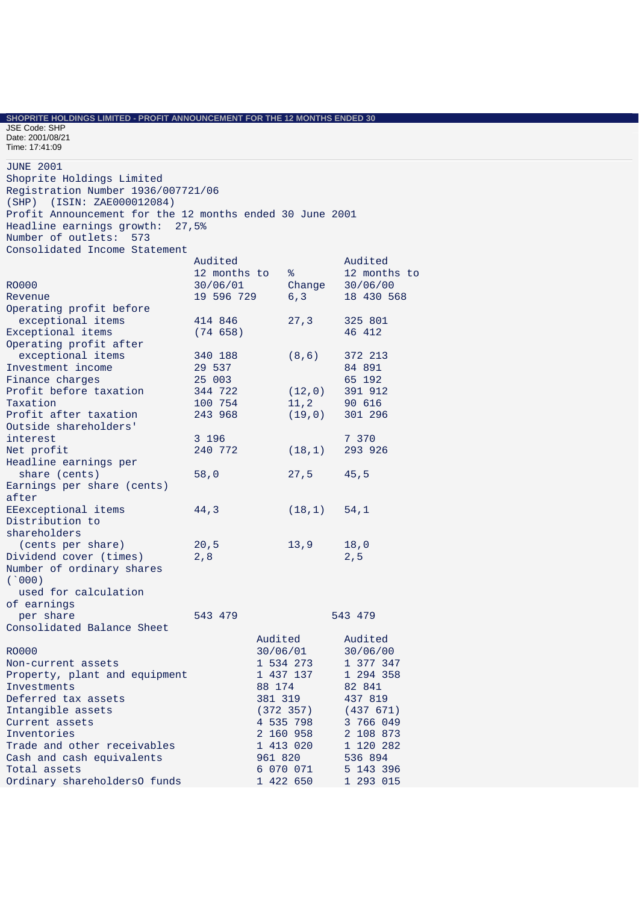**SHOPRITE HOLDINGS LIMITED - PROFIT ANNOUNCEMENT FOR THE 12 MONTHS ENDED 30** 

JSE Code: SHP Date: 2001/08/21 Time: 17:41:09

JUNE 2001 Shoprite Holdings Limited Registration Number 1936/007721/06 (SHP) (ISIN: ZAE000012084) Profit Announcement for the 12 months ended 30 June 2001 Headline earnings growth: 27,5% Number of outlets: 573 Consolidated Income Statement Audited Audited 12 months to % 12 months to RO000 30/06/01 Change 30/06/00<br>Revenue 19 596 729 6,3 18 430 568 Revenue 19 596 729 6,3 Operating profit before exceptional items  $414 846$  27,3 325 801<br>xceptional items (74 658) 46 412 Exceptional items Operating profit after exceptional items 340 188 (8,6) 372 213<br>19 19 537 84 891 Investment income 29 537 84 891<br>Finance charges 25 003 65 192 Finance charges 25 003<br>Profit before taxation 344 722 Profit before taxation 344 722 (12,0) 391 912 Taxation 100 754 11,2 90 616<br>Profit after taxation 243 968 (19,0) 301 296 Profit after taxation Outside shareholders' interest 3 196 7 370<br>Net profit 3 240 772 (18,1) 293 9 Net profit 240 772 (18,1) 293 926 Headline earnings per share (cents) 58,0 27,5 45,5 Earnings per share (cents) after EEexceptional items 44,3 (18,1) 54,1 Distribution to shareholders (cents per share) 20,5 13,9 18,0 Dividend cover (times) 2,8 2,5 Number of ordinary shares (`000) used for calculation of earnings per share 543 479 543 543 479 Consolidated Balance Sheet Audited Audited RO000 30/06/01 30/06/00 Non-current assets 1 534 273 1 377 347 Property, plant and equipment 1 437 137 1 294 358<br>Investments 88 174 82 841 Investments 88 174<br>Deferred tax assets 381 319 Deferred tax assets 381 319 437 819 Intangible assets (372 357) (437 671)<br>Current assets (372 357) (437 671) Current assets Inventories 2 160 958 2 108 873 Trade and other receivables 1 413 020 1 120 282<br>
Cash and cash equivalents 961 820 536 894 Cash and cash equivalents Total assets 6 070 071 5 143 396 Ordinary shareholdersO funds 1 422 650 1 293 015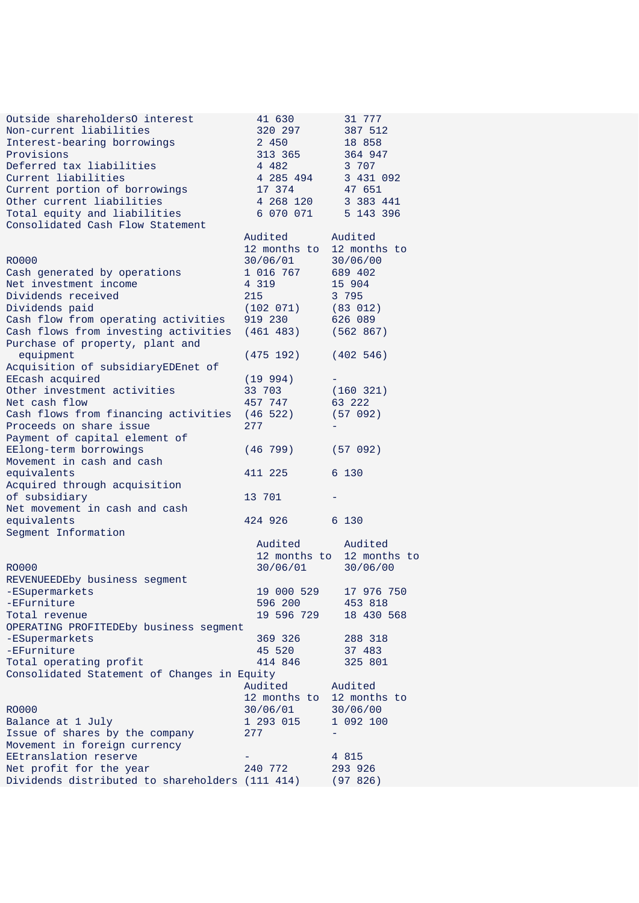| Outside shareholdersO interest                  | 41 630                    | 31 777                    |
|-------------------------------------------------|---------------------------|---------------------------|
| Non-current liabilities                         | 320 297                   | 387 512                   |
| Interest-bearing borrowings                     | 2 450                     | 18 858                    |
| Provisions                                      | 313 365                   | 364 947                   |
| Deferred tax liabilities                        | 4 482                     | 3 707                     |
| Current liabilities                             | 4 285 494                 | 3 431 092                 |
| Current portion of borrowings                   | 17 374                    | 47 651                    |
| Other current liabilities                       | 4 268 120                 | 3 383 441                 |
| Total equity and liabilities                    | 6 070 071                 | 5 143 396                 |
| Consolidated Cash Flow Statement                |                           |                           |
|                                                 | Audited                   | Audited                   |
|                                                 | 12 months to              | 12 months to              |
| <b>RO000</b>                                    | 30/06/01                  | 30/06/00                  |
| Cash generated by operations                    | 1 016 767                 | 689 402                   |
| Net investment income                           | 4 3 1 9                   | 15 904                    |
| Dividends received                              | 215                       | 3 795                     |
| Dividends paid                                  | (102 071)                 | (83 012)                  |
| Cash flow from operating activities             | 919 230                   | 626 089                   |
| Cash flows from investing activities            | (461 483)                 | (562 867)                 |
| Purchase of property, plant and                 |                           |                           |
| equipment                                       | (475 192)                 | (402 546)                 |
| Acquisition of subsidiaryEDEnet of              |                           |                           |
| EEcash acquired                                 | (19 994)                  |                           |
| Other investment activities                     | 33 703                    | (160 321)                 |
| Net cash flow                                   | 457 747                   | 63 222                    |
| Cash flows from financing activities            | (46522)                   | (57 092)                  |
| Proceeds on share issue                         | 277                       |                           |
| Payment of capital element of                   |                           |                           |
| EElong-term borrowings                          | (46 799)                  | (57 092)                  |
| Movement in cash and cash                       |                           |                           |
| equivalents                                     | 411 225                   | 6 130                     |
| Acquired through acquisition                    |                           |                           |
| of subsidiary                                   | 13 701                    |                           |
| Net movement in cash and cash                   |                           |                           |
| equivalents                                     | 424 926                   | 6 130                     |
| Segment Information                             |                           |                           |
|                                                 | Audited                   | Audited                   |
|                                                 |                           | 12 months to 12 months to |
| <b>RO000</b>                                    | 30/06/01                  | 30/06/00                  |
| REVENUEEDEby business segment                   |                           |                           |
| -ESupermarkets                                  | 19 000 529                | 17 976 750                |
| -EFurniture                                     | 596 200                   | 453 818                   |
| Total revenue                                   | 19 596 729                | 18 430 568                |
| OPERATING PROFITEDEby business segment          |                           |                           |
| -ESupermarkets                                  | 369 326                   | 288 318                   |
| -EFurniture                                     | 45 520                    | 37 483                    |
| Total operating profit                          | 414 846                   | 325 801                   |
| Consolidated Statement of Changes in Equity     |                           |                           |
|                                                 | Audited                   | Audited                   |
|                                                 | 12 months to 12 months to |                           |
| <b>RO000</b>                                    | 30/06/01                  | 30/06/00                  |
| Balance at 1 July                               | 1 293 015                 | 1 092 100                 |
| Issue of shares by the company                  | 277                       |                           |
| Movement in foreign currency                    |                           |                           |
| EEtranslation reserve                           |                           | 4 8 1 5                   |
| Net profit for the year                         | 240 772                   | 293 926                   |
| Dividends distributed to shareholders (111 414) |                           | (97826)                   |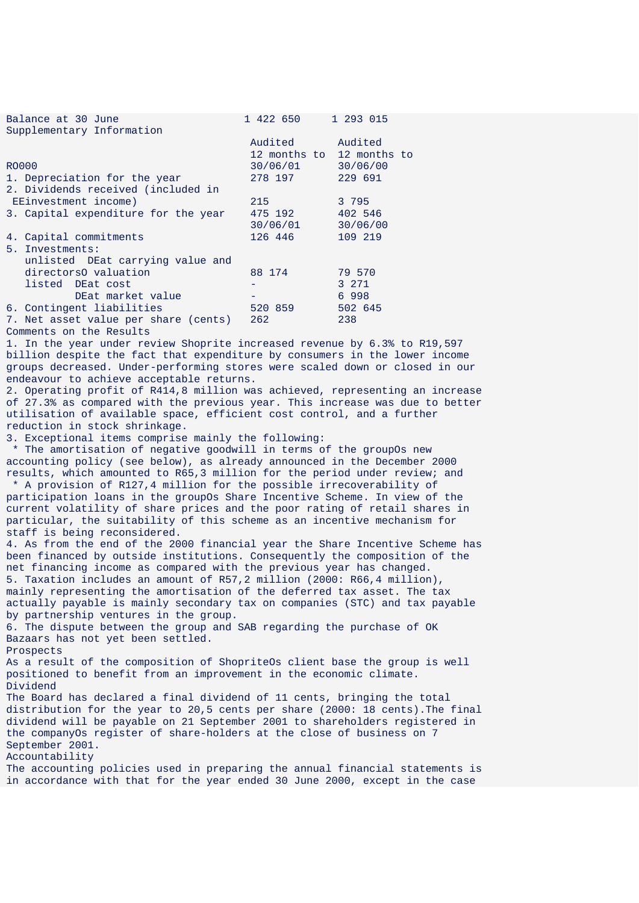| Balance at 30 June                   | 1 422 650 | 1 293 015                 |
|--------------------------------------|-----------|---------------------------|
| Supplementary Information            |           |                           |
|                                      | Audited   | Audited                   |
|                                      |           | 12 months to 12 months to |
| RO000                                | 30/06/01  | 30/06/00                  |
| 1. Depreciation for the year         | 278 197   | 229 691                   |
| 2. Dividends received (included in   |           |                           |
| EEinvestment income)                 | 215       | 3 795                     |
| 3. Capital expenditure for the year  | 475 192   | 402 546                   |
|                                      | 30/06/01  | 30/06/00                  |
| 4. Capital commitments               | 126 446   | 109 219                   |
| 5. Investments:                      |           |                           |
| unlisted DEat carrying value and     |           |                           |
| directors0 valuation                 | 88 174    | 79 570                    |
| listed DEat cost                     |           | 3 271                     |
| DEat market value                    |           | 6 998                     |
| 6. Contingent liabilities            | 520 859   | 502 645                   |
| 7. Net asset value per share (cents) | 262       | 238                       |
| Comments on the Results              |           |                           |

1. In the year under review Shoprite increased revenue by 6.3% to R19,597 billion despite the fact that expenditure by consumers in the lower income groups decreased. Under-performing stores were scaled down or closed in our endeavour to achieve acceptable returns.

2. Operating profit of R414,8 million was achieved, representing an increase of 27.3% as compared with the previous year. This increase was due to better utilisation of available space, efficient cost control, and a further reduction in stock shrinkage.

3. Exceptional items comprise mainly the following:

 \* The amortisation of negative goodwill in terms of the groupOs new accounting policy (see below), as already announced in the December 2000 results, which amounted to R65,3 million for the period under review; and

 \* A provision of R127,4 million for the possible irrecoverability of participation loans in the groupOs Share Incentive Scheme. In view of the current volatility of share prices and the poor rating of retail shares in particular, the suitability of this scheme as an incentive mechanism for staff is being reconsidered.

4. As from the end of the 2000 financial year the Share Incentive Scheme has been financed by outside institutions. Consequently the composition of the net financing income as compared with the previous year has changed. 5. Taxation includes an amount of R57,2 million (2000: R66,4 million), mainly representing the amortisation of the deferred tax asset. The tax actually payable is mainly secondary tax on companies (STC) and tax payable by partnership ventures in the group.

6. The dispute between the group and SAB regarding the purchase of OK Bazaars has not yet been settled.

Prospects

As a result of the composition of ShopriteOs client base the group is well positioned to benefit from an improvement in the economic climate. Dividend

The Board has declared a final dividend of 11 cents, bringing the total distribution for the year to 20,5 cents per share (2000: 18 cents).The final dividend will be payable on 21 September 2001 to shareholders registered in the companyOs register of share-holders at the close of business on 7 September 2001.

Accountability

The accounting policies used in preparing the annual financial statements is in accordance with that for the year ended 30 June 2000, except in the case